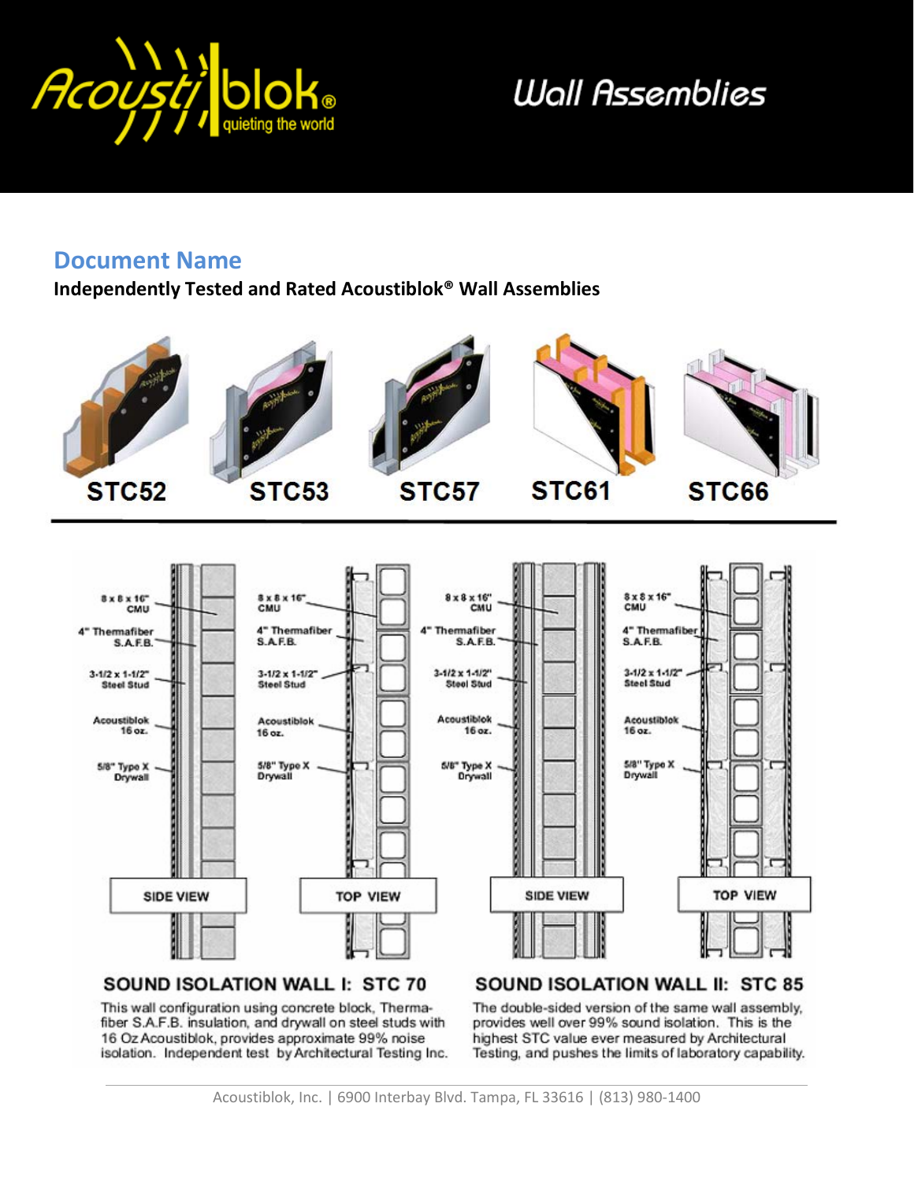

# **Wall Assemblies**

### **Document Name**

**Independently Tested and Rated Acoustiblok® Wall Assemblies**







**STC61** 





#### SOUND ISOLATION WALL I: STC 70

This wall configuration using concrete block, Thermafiber S.A.F.B. insulation, and drywall on steel studs with 16 Oz Acoustiblok, provides approximate 99% noise isolation. Independent test by Architectural Testing Inc.

### SOUND ISOLATION WALL II: STC 85

The double-sided version of the same wall assembly, provides well over 99% sound isolation. This is the highest STC value ever measured by Architectural Testing, and pushes the limits of laboratory capability.